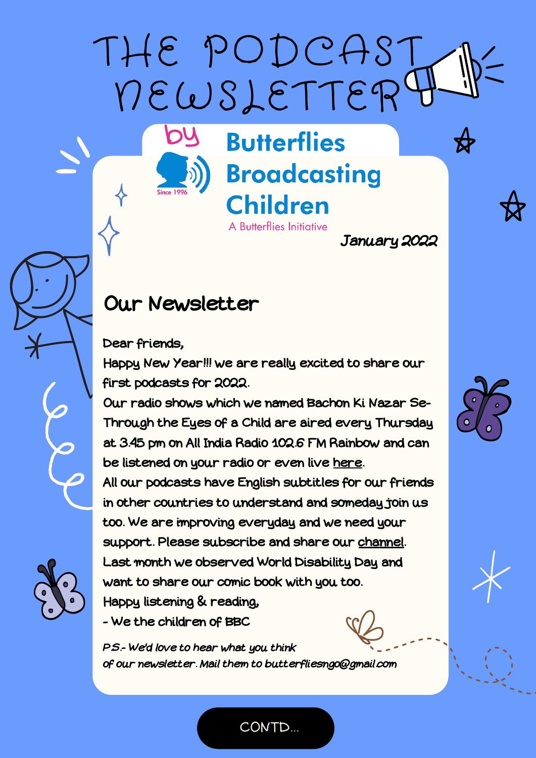THE PODCAST NEWSLETTER

by

# **Butterflies Broadcasting Children** A Butterflies Initiative

January 2022

## Our Newsletter

#### Dear friends,

Happy New Year!!! we are really excited to share our first podcasts for 2022.

Our radio shows which we named Bachon Ki Nazar Se-Through the Eyes of a Child are aired every Thursday at 3.45 pm on All India Radio 102.6 FM Rainbow and can be listened on your radio or even live [here.](https://onlineradiofm.in/delhi/delhi/fm-rainbow)

All our podcasts have English subtitles for our friends in other countries to understand and someday join us too. We are improving everyday and we need your support. Please subscribe and share our [channel](https://www.youtube.com/playlist?list=PL1k7V5D62aTQ_0WGS91pR_FfyptNqYCbm). Last month we observed World Disability Day and want to share our comic book with you too. Happy listening & reading,

- We the children of BBC

P.S.- We'd love to hear what you think of our newsletter. Mail them to butterfliesngo@gmail.com





CONTD...